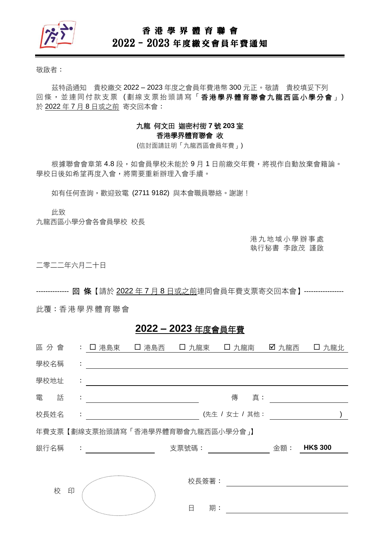

## 香 港 學 界 體 育 聯 會

# 2022–2023 年度繳交會員年費通知

敬啟者:

茲特函通知 貴校繳交 2022 – 2023 年度之會員年費港幣 300 元正。敬請 貴校填妥下列 回條, 並連同付款支票(劃線支票抬頭請寫「香港學界體育聯會九龍西區小學分會」) 於 2022 年 7 月 8 日或之前 寄交回本會:

### 九龍 何文田 迦密村街 **7** 號 **203** 室 香港學界體育聯會 收

(信封面請註明「九龍西區會員年費」)

根據聯會會章第 4.8 段,如會員學校未能於9月1日前繳交年費,將視作自動放棄會籍論。 學校日後如希望再度入會,將需要重新辦理入會手續。

如有任何查詢,歡迎致電 (2711 9182)與本會職員聯絡。謝謝!

此致

九龍西區小學分會各會員學校 校長

港 九 地 域 小 學 辦 事 處 執行秘書 李啟茂 謹啟

二零二二年六月二十日

-------------- 回 條【請於 2022 年 7 月 8 日或之前連同會員年費支票寄交回本會】-----------------

此覆:香港 學 界體 育 聯會

## **2022 – 2023** 年度會員年費

| 區分會  |   |    | : 口 港島東 [ ] 港島西                                       |       |       | □ 九龍東 □ 九龍南    | ☑ 九龍西 | 口 九龍北           |  |
|------|---|----|-------------------------------------------------------|-------|-------|----------------|-------|-----------------|--|
| 學校名稱 |   | ÷  |                                                       |       |       |                |       |                 |  |
| 學校地址 |   | ÷  |                                                       |       |       |                |       |                 |  |
| 電    | 話 | ÷  |                                                       |       |       | 傳真:            |       |                 |  |
| 校長姓名 |   | ÷. |                                                       |       |       | (先生 / 女士 / 其他: |       |                 |  |
|      |   |    | 年費支票【劃線支票抬頭請寫「香港學界體育聯會九龍西區小學分會」】                      |       |       |                |       |                 |  |
| 銀行名稱 |   |    | $\mathcal{L}_{\rm{max}}$ and $\mathcal{L}_{\rm{max}}$ | 支票號碼: |       |                | 金額:   | <b>HK\$ 300</b> |  |
|      |   |    |                                                       |       |       |                |       |                 |  |
|      |   |    |                                                       |       | 校長簽署: |                |       |                 |  |
|      | 校 | 印  |                                                       |       |       |                |       |                 |  |
|      |   |    | <sup>ng</sup> a <sub>ng mananganan</sub>              | 日     | 期:    |                |       |                 |  |